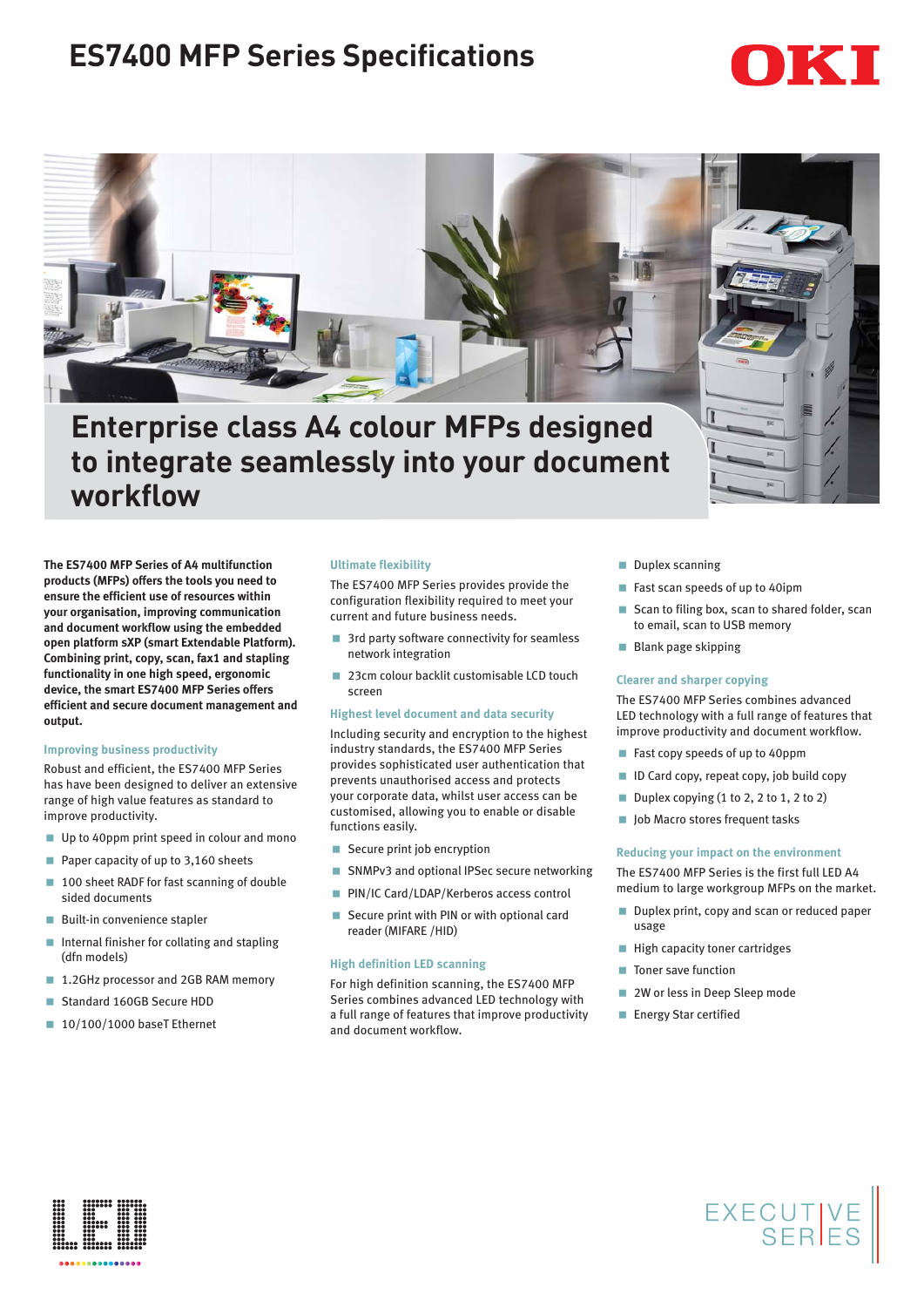# **ES7400 MFP Series Specifications**

# IKII



**Enterprise class A4 colour MFPs designed to integrate seamlessly into your document workflow**

**The ES7400 MFP Series of A4 multifunction products (MFPs) offers the tools you need to ensure the efficient use of resources within your organisation, improving communication and document workflow using the embedded open platform sXP (smart Extendable Platform). Combining print, copy, scan, fax1 and stapling functionality in one high speed, ergonomic device, the smart ES7400 MFP Series offers efficient and secure document management and output.**

#### **Improving business productivity**

Robust and efficient, the ES7400 MFP Series has have been designed to deliver an extensive range of high value features as standard to improve productivity.

- Up to 40ppm print speed in colour and mono
- Paper capacity of up to 3,160 sheets
- 100 sheet RADF for fast scanning of double sided documents
- **Built-in convenience stapler**
- **Internal finisher for collating and stapling** (dfn models)
- 1.2GHz processor and 2GB RAM memory
- Standard 160GB Secure HDD
- 10/100/1000 baseT Ethernet

#### **Ultimate flexibility**

The ES7400 MFP Series provides provide the configuration flexibility required to meet your current and future business needs.

- 3rd party software connectivity for seamless network integration
- 23cm colour backlit customisable LCD touch screen

#### **Highest level document and data security**

Including security and encryption to the highest industry standards, the ES7400 MFP Series provides sophisticated user authentication that prevents unauthorised access and protects your corporate data, whilst user access can be customised, allowing you to enable or disable functions easily.

- Secure print job encryption
- SNMPv3 and optional IPSec secure networking
- **PIN/IC Card/LDAP/Kerberos access control**
- Secure print with PIN or with optional card reader (MIFARE /HID)

### **High definition LED scanning**

For high definition scanning, the ES7400 MFP Series combines advanced LED technology with a full range of features that improve productivity and document workflow.

- **Duplex scanning**
- Fast scan speeds of up to 40ipm
- Scan to filing box, scan to shared folder, scan to email, scan to USB memory
- **Blank page skipping**

#### **Clearer and sharper copying**

The ES7400 MFP Series combines advanced LED technology with a full range of features that improve productivity and document workflow.

- Fast copy speeds of up to 40ppm
- $\blacksquare$  ID Card copy, repeat copy, job build copy
- Duplex copying  $(1 to 2, 2 to 1, 2 to 2)$
- Job Macro stores frequent tasks

#### **Reducing your impact on the environment**

The ES7400 MFP Series is the first full LED A4 medium to large workgroup MFPs on the market.

Duplex print, copy and scan or reduced paper usage

EXECUTIVE<br>SERIES

- **High capacity toner cartridges**
- Toner save function
- 2W or less in Deep Sleep mode
- **Energy Star certified**